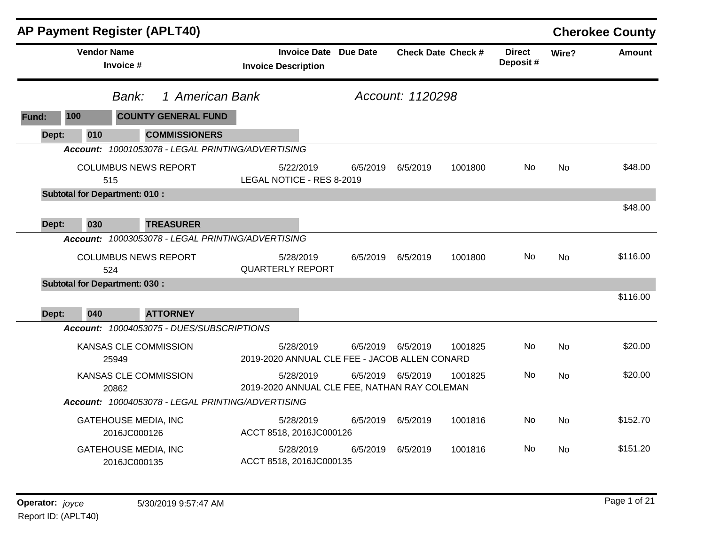|       |              | <b>AP Payment Register (APLT40)</b>               |                                                            |          |                   |                           |                           |                        | <b>Cherokee County</b> |
|-------|--------------|---------------------------------------------------|------------------------------------------------------------|----------|-------------------|---------------------------|---------------------------|------------------------|------------------------|
|       |              | <b>Vendor Name</b><br>Invoice #                   | <b>Invoice Date Due Date</b><br><b>Invoice Description</b> |          |                   | <b>Check Date Check #</b> | <b>Direct</b><br>Deposit# | Wire?                  | <b>Amount</b>          |
|       |              | 1 American Bank<br>Bank:                          |                                                            |          | Account: 1120298  |                           |                           | <b>No</b><br><b>No</b> |                        |
| Fund: | 100          | <b>COUNTY GENERAL FUND</b>                        |                                                            |          |                   |                           |                           |                        |                        |
|       | 010<br>Dept: | <b>COMMISSIONERS</b>                              |                                                            |          |                   |                           |                           |                        |                        |
|       |              | Account: 10001053078 - LEGAL PRINTING/ADVERTISING |                                                            |          |                   |                           |                           |                        |                        |
|       |              | <b>COLUMBUS NEWS REPORT</b><br>515                | 5/22/2019<br>LEGAL NOTICE - RES 8-2019                     | 6/5/2019 | 6/5/2019          | 1001800                   | <b>No</b>                 |                        | \$48.00                |
|       |              | <b>Subtotal for Department: 010:</b>              |                                                            |          |                   |                           |                           |                        |                        |
|       | 030<br>Dept: | <b>TREASURER</b>                                  |                                                            |          |                   |                           |                           |                        | \$48.00                |
|       |              | Account: 10003053078 - LEGAL PRINTING/ADVERTISING |                                                            |          |                   |                           |                           |                        |                        |
|       |              | <b>COLUMBUS NEWS REPORT</b><br>524                | 5/28/2019<br><b>QUARTERLY REPORT</b>                       | 6/5/2019 | 6/5/2019          | 1001800                   | No                        |                        | \$116.00               |
|       |              | <b>Subtotal for Department: 030:</b>              |                                                            |          |                   |                           |                           |                        |                        |
|       | 040<br>Dept: | <b>ATTORNEY</b>                                   |                                                            |          |                   |                           |                           |                        | \$116.00               |
|       |              | Account: 10004053075 - DUES/SUBSCRIPTIONS         |                                                            |          |                   |                           |                           |                        |                        |
|       |              | KANSAS CLE COMMISSION<br>25949                    | 5/28/2019<br>2019-2020 ANNUAL CLE FEE - JACOB ALLEN CONARD |          | 6/5/2019 6/5/2019 | 1001825                   | No                        | <b>No</b>              | \$20.00                |
|       |              | KANSAS CLE COMMISSION<br>20862                    | 5/28/2019<br>2019-2020 ANNUAL CLE FEE, NATHAN RAY COLEMAN  |          | 6/5/2019 6/5/2019 | 1001825                   | No.                       | <b>No</b>              | \$20.00                |
|       |              | Account: 10004053078 - LEGAL PRINTING/ADVERTISING |                                                            |          |                   |                           |                           |                        |                        |
|       |              | <b>GATEHOUSE MEDIA, INC</b><br>2016JC000126       | 5/28/2019<br>ACCT 8518, 2016JC000126                       | 6/5/2019 | 6/5/2019          | 1001816                   | No.                       | <b>No</b>              | \$152.70               |
|       |              | <b>GATEHOUSE MEDIA, INC</b><br>2016JC000135       | 5/28/2019<br>ACCT 8518, 2016JC000135                       | 6/5/2019 | 6/5/2019          | 1001816                   | No                        | <b>No</b>              | \$151.20               |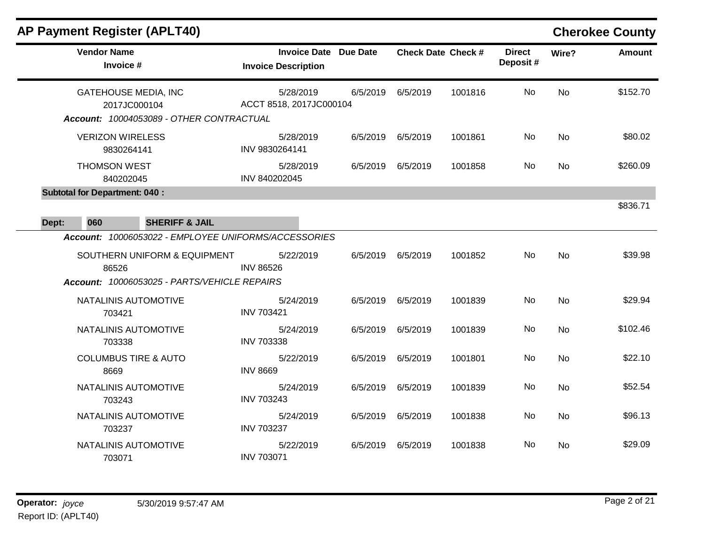|       |                                             | <b>AP Payment Register (APLT40)</b>                                                                                                  |                                                            |          |                           |         |                           |           | <b>Cherokee County</b> |
|-------|---------------------------------------------|--------------------------------------------------------------------------------------------------------------------------------------|------------------------------------------------------------|----------|---------------------------|---------|---------------------------|-----------|------------------------|
|       | <b>Vendor Name</b><br>Invoice #             |                                                                                                                                      | <b>Invoice Date Due Date</b><br><b>Invoice Description</b> |          | <b>Check Date Check #</b> |         | <b>Direct</b><br>Deposit# | Wire?     | <b>Amount</b>          |
|       |                                             | <b>GATEHOUSE MEDIA, INC</b><br>2017JC000104<br>Account: 10004053089 - OTHER CONTRACTUAL                                              | 5/28/2019<br>ACCT 8518, 2017JC000104                       | 6/5/2019 | 6/5/2019                  | 1001816 | No                        | <b>No</b> | \$152.70               |
|       | <b>VERIZON WIRELESS</b>                     | 9830264141                                                                                                                           | 5/28/2019<br>INV 9830264141                                | 6/5/2019 | 6/5/2019                  | 1001861 | No                        | <b>No</b> | \$80.02                |
|       | <b>THOMSON WEST</b>                         | 840202045                                                                                                                            | 5/28/2019<br>INV 840202045                                 | 6/5/2019 | 6/5/2019                  | 1001858 | No.                       | No.       | \$260.09               |
| Dept: | <b>Subtotal for Department: 040:</b><br>060 | <b>SHERIFF &amp; JAIL</b>                                                                                                            |                                                            |          |                           |         |                           |           | \$836.71               |
|       | 86526                                       | Account: 10006053022 - EMPLOYEE UNIFORMS/ACCESSORIES<br>SOUTHERN UNIFORM & EQUIPMENT<br>Account: 10006053025 - PARTS/VEHICLE REPAIRS | 5/22/2019<br><b>INV 86526</b>                              | 6/5/2019 | 6/5/2019                  | 1001852 | No                        | <b>No</b> | \$39.98                |
|       | 703421                                      | NATALINIS AUTOMOTIVE                                                                                                                 | 5/24/2019<br><b>INV 703421</b>                             | 6/5/2019 | 6/5/2019                  | 1001839 | No                        | <b>No</b> | \$29.94                |
|       | 703338                                      | NATALINIS AUTOMOTIVE                                                                                                                 | 5/24/2019<br><b>INV 703338</b>                             | 6/5/2019 | 6/5/2019                  | 1001839 | No.                       | No        | \$102.46               |
|       | 8669                                        | <b>COLUMBUS TIRE &amp; AUTO</b>                                                                                                      | 5/22/2019<br><b>INV 8669</b>                               | 6/5/2019 | 6/5/2019                  | 1001801 | No                        | <b>No</b> | \$22.10                |
|       | 703243                                      | NATALINIS AUTOMOTIVE                                                                                                                 | 5/24/2019<br><b>INV 703243</b>                             | 6/5/2019 | 6/5/2019                  | 1001839 | No                        | No.       | \$52.54                |
|       | 703237                                      | NATALINIS AUTOMOTIVE                                                                                                                 | 5/24/2019<br><b>INV 703237</b>                             | 6/5/2019 | 6/5/2019                  | 1001838 | No                        | <b>No</b> | \$96.13                |
|       | 703071                                      | NATALINIS AUTOMOTIVE                                                                                                                 | 5/22/2019<br><b>INV 703071</b>                             | 6/5/2019 | 6/5/2019                  | 1001838 | No.                       | No.       | \$29.09                |

**Operator:** joyce 5/30/2019 9:57:47 AM **Page 2 of 21** Report ID: (APLT40)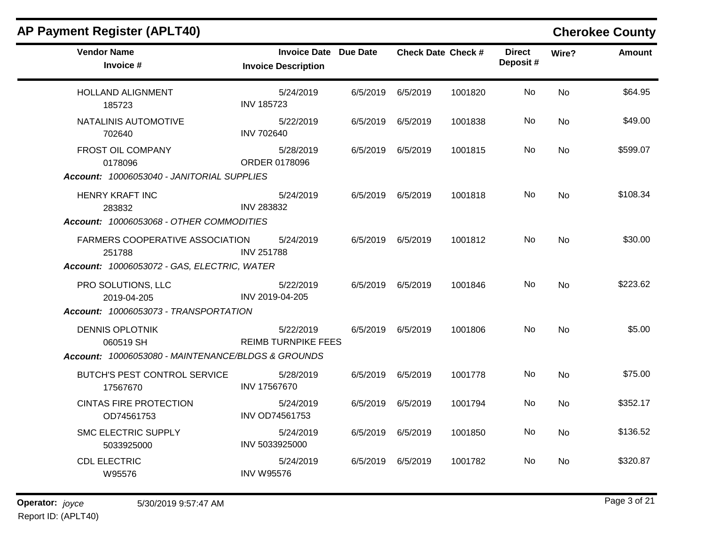| <b>AP Payment Register (APLT40)</b>                                                                                        |                                                            |          |                           |         |                           |           | <b>Cherokee County</b> |
|----------------------------------------------------------------------------------------------------------------------------|------------------------------------------------------------|----------|---------------------------|---------|---------------------------|-----------|------------------------|
| <b>Vendor Name</b><br>Invoice #                                                                                            | <b>Invoice Date Due Date</b><br><b>Invoice Description</b> |          | <b>Check Date Check #</b> |         | <b>Direct</b><br>Deposit# | Wire?     | <b>Amount</b>          |
| <b>HOLLAND ALIGNMENT</b><br>185723                                                                                         | 5/24/2019<br><b>INV 185723</b>                             | 6/5/2019 | 6/5/2019                  | 1001820 | <b>No</b>                 | <b>No</b> | \$64.95                |
| NATALINIS AUTOMOTIVE<br>702640                                                                                             | 5/22/2019<br><b>INV 702640</b>                             |          | 6/5/2019 6/5/2019         | 1001838 | No                        | No.       | \$49.00                |
| FROST OIL COMPANY<br>0178096                                                                                               | 5/28/2019<br>ORDER 0178096                                 |          | 6/5/2019 6/5/2019         | 1001815 | No                        | No        | \$599.07               |
| Account: 10006053040 - JANITORIAL SUPPLIES<br><b>HENRY KRAFT INC</b><br>283832<br>Account: 10006053068 - OTHER COMMODITIES | 5/24/2019<br><b>INV 283832</b>                             |          | 6/5/2019 6/5/2019         | 1001818 | No                        | <b>No</b> | \$108.34               |
| <b>FARMERS COOPERATIVE ASSOCIATION</b><br>251788<br>Account: 10006053072 - GAS, ELECTRIC, WATER                            | 5/24/2019<br><b>INV 251788</b>                             |          | 6/5/2019 6/5/2019         | 1001812 | No                        | <b>No</b> | \$30.00                |
| PRO SOLUTIONS, LLC<br>2019-04-205<br>Account: 10006053073 - TRANSPORTATION                                                 | 5/22/2019<br>INV 2019-04-205                               |          | 6/5/2019 6/5/2019         | 1001846 | No                        | <b>No</b> | \$223.62               |
| <b>DENNIS OPLOTNIK</b><br>060519 SH<br>Account: 10006053080 - MAINTENANCE/BLDGS & GROUNDS                                  | 5/22/2019<br><b>REIMB TURNPIKE FEES</b>                    |          | 6/5/2019 6/5/2019         | 1001806 | No.                       | <b>No</b> | \$5.00                 |
| <b>BUTCH'S PEST CONTROL SERVICE</b><br>17567670                                                                            | 5/28/2019<br>INV 17567670                                  |          | 6/5/2019 6/5/2019         | 1001778 | No                        | <b>No</b> | \$75.00                |
| <b>CINTAS FIRE PROTECTION</b><br>OD74561753                                                                                | 5/24/2019<br><b>INV OD74561753</b>                         |          | 6/5/2019 6/5/2019         | 1001794 | No                        | <b>No</b> | \$352.17               |
| <b>SMC ELECTRIC SUPPLY</b><br>5033925000                                                                                   | 5/24/2019<br>INV 5033925000                                | 6/5/2019 | 6/5/2019                  | 1001850 | No.                       | <b>No</b> | \$136.52               |
| <b>CDL ELECTRIC</b><br>W95576                                                                                              | 5/24/2019<br><b>INV W95576</b>                             | 6/5/2019 | 6/5/2019                  | 1001782 | No                        | No        | \$320.87               |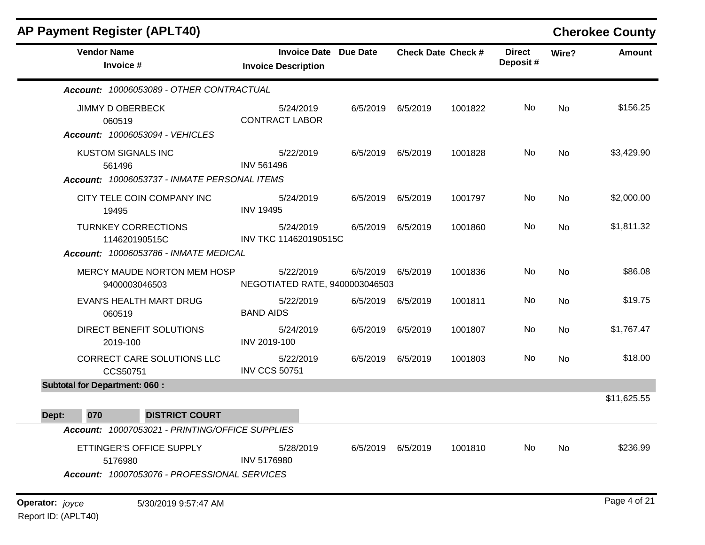| <b>AP Payment Register (APLT40)</b>                                                  |                                                            |          |                   |                           |                           |           | <b>Cherokee County</b> |
|--------------------------------------------------------------------------------------|------------------------------------------------------------|----------|-------------------|---------------------------|---------------------------|-----------|------------------------|
| <b>Vendor Name</b><br>Invoice #                                                      | <b>Invoice Date Due Date</b><br><b>Invoice Description</b> |          |                   | <b>Check Date Check #</b> | <b>Direct</b><br>Deposit# | Wire?     | <b>Amount</b>          |
| Account: 10006053089 - OTHER CONTRACTUAL                                             |                                                            |          |                   |                           |                           |           |                        |
| <b>JIMMY D OBERBECK</b><br>060519<br>Account: 10006053094 - VEHICLES                 | 5/24/2019<br><b>CONTRACT LABOR</b>                         |          | 6/5/2019 6/5/2019 | 1001822                   | No                        | No        | \$156.25               |
| <b>KUSTOM SIGNALS INC</b><br>561496<br>Account: 10006053737 - INMATE PERSONAL ITEMS  | 5/22/2019<br><b>INV 561496</b>                             | 6/5/2019 | 6/5/2019          | 1001828                   | No                        | No        | \$3,429.90             |
| CITY TELE COIN COMPANY INC<br>19495                                                  | 5/24/2019<br><b>INV 19495</b>                              | 6/5/2019 | 6/5/2019          | 1001797                   | No                        | <b>No</b> | \$2,000.00             |
| <b>TURNKEY CORRECTIONS</b><br>114620190515C<br>Account: 10006053786 - INMATE MEDICAL | 5/24/2019<br>INV TKC 114620190515C                         | 6/5/2019 | 6/5/2019          | 1001860                   | No                        | No        | \$1,811.32             |
| MERCY MAUDE NORTON MEM HOSP<br>9400003046503                                         | 5/22/2019<br>NEGOTIATED RATE, 9400003046503                |          | 6/5/2019 6/5/2019 | 1001836                   | No                        | No        | \$86.08                |
| EVAN'S HEALTH MART DRUG<br>060519                                                    | 5/22/2019<br><b>BAND AIDS</b>                              | 6/5/2019 | 6/5/2019          | 1001811                   | No                        | No        | \$19.75                |
| DIRECT BENEFIT SOLUTIONS<br>2019-100                                                 | 5/24/2019<br>INV 2019-100                                  | 6/5/2019 | 6/5/2019          | 1001807                   | No                        | No        | \$1,767.47             |
| CORRECT CARE SOLUTIONS LLC<br>CCS50751                                               | 5/22/2019<br><b>INV CCS 50751</b>                          | 6/5/2019 | 6/5/2019          | 1001803                   | No                        | No        | \$18.00                |
| <b>Subtotal for Department: 060:</b>                                                 |                                                            |          |                   |                           |                           |           |                        |
| 070<br><b>DISTRICT COURT</b><br>Dept:                                                |                                                            |          |                   |                           |                           |           | \$11,625.55            |
| Account: 10007053021 - PRINTING/OFFICE SUPPLIES                                      |                                                            |          |                   |                           |                           |           |                        |
| ETTINGER'S OFFICE SUPPLY<br>5176980                                                  | 5/28/2019<br><b>INV 5176980</b>                            |          | 6/5/2019 6/5/2019 | 1001810                   | No.                       | No        | \$236.99               |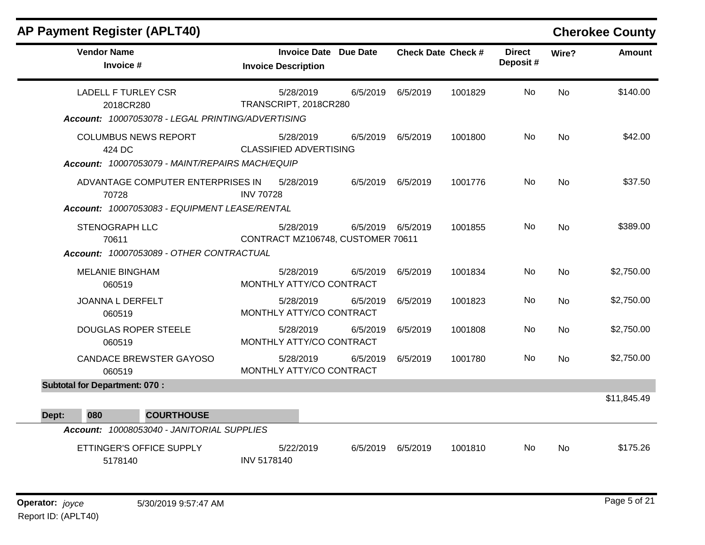| <b>Vendor Name</b><br>Invoice #                                                              | Invoice Date Due Date<br><b>Invoice Description</b> |          | <b>Check Date Check #</b> |         | <b>Direct</b><br>Deposit # | Wire?     | <b>Amount</b> |
|----------------------------------------------------------------------------------------------|-----------------------------------------------------|----------|---------------------------|---------|----------------------------|-----------|---------------|
| <b>LADELL F TURLEY CSR</b><br>2018CR280<br>Account: 10007053078 - LEGAL PRINTING/ADVERTISING | 5/28/2019<br>TRANSCRIPT, 2018CR280                  | 6/5/2019 | 6/5/2019                  | 1001829 | No                         | <b>No</b> | \$140.00      |
| <b>COLUMBUS NEWS REPORT</b><br>424 DC<br>Account: 10007053079 - MAINT/REPAIRS MACH/EQUIP     | 5/28/2019<br><b>CLASSIFIED ADVERTISING</b>          |          | 6/5/2019 6/5/2019         | 1001800 | No.                        | No        | \$42.00       |
| ADVANTAGE COMPUTER ENTERPRISES IN<br>70728<br>Account: 10007053083 - EQUIPMENT LEASE/RENTAL  | 5/28/2019<br><b>INV 70728</b>                       |          | 6/5/2019 6/5/2019         | 1001776 | No.                        | <b>No</b> | \$37.50       |
| <b>STENOGRAPH LLC</b><br>70611<br>Account: 10007053089 - OTHER CONTRACTUAL                   | 5/28/2019<br>CONTRACT MZ106748, CUSTOMER 70611      |          | 6/5/2019 6/5/2019         | 1001855 | No.                        | <b>No</b> | \$389.00      |
| <b>MELANIE BINGHAM</b><br>060519                                                             | 5/28/2019<br>MONTHLY ATTY/CO CONTRACT               | 6/5/2019 | 6/5/2019                  | 1001834 | No                         | <b>No</b> | \$2,750.00    |
| <b>JOANNA L DERFELT</b><br>060519                                                            | 5/28/2019<br>MONTHLY ATTY/CO CONTRACT               | 6/5/2019 | 6/5/2019                  | 1001823 | No                         | <b>No</b> | \$2,750.00    |
| DOUGLAS ROPER STEELE<br>060519                                                               | 5/28/2019<br>MONTHLY ATTY/CO CONTRACT               | 6/5/2019 | 6/5/2019                  | 1001808 | No                         | <b>No</b> | \$2,750.00    |
| CANDACE BREWSTER GAYOSO<br>060519                                                            | 5/28/2019<br>MONTHLY ATTY/CO CONTRACT               | 6/5/2019 | 6/5/2019                  | 1001780 | No                         | No        | \$2,750.00    |
| <b>Subtotal for Department: 070:</b><br>080<br><b>COURTHOUSE</b><br>Dept:                    |                                                     |          |                           |         |                            |           | \$11,845.49   |
| Account: 10008053040 - JANITORIAL SUPPLIES                                                   |                                                     |          |                           |         |                            |           |               |
| ETTINGER'S OFFICE SUPPLY<br>5178140                                                          | 5/22/2019<br><b>INV 5178140</b>                     | 6/5/2019 | 6/5/2019                  | 1001810 | No.                        | No        | \$175.26      |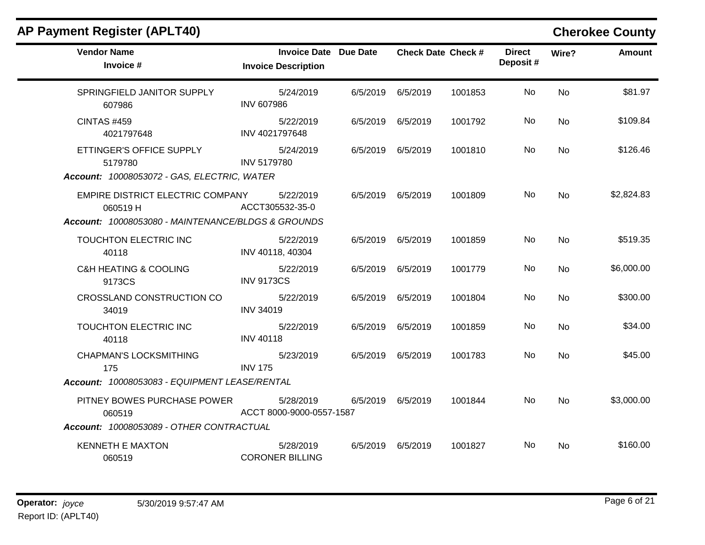| <b>Vendor Name</b><br>Invoice #                                                                   | <b>Invoice Date Due Date</b><br><b>Invoice Description</b> |                   | <b>Check Date Check #</b> | <b>Direct</b><br>Deposit# | Wire?     | <b>Amount</b> |
|---------------------------------------------------------------------------------------------------|------------------------------------------------------------|-------------------|---------------------------|---------------------------|-----------|---------------|
| SPRINGFIELD JANITOR SUPPLY<br>607986                                                              | 5/24/2019<br><b>INV 607986</b>                             | 6/5/2019 6/5/2019 | 1001853                   | No.                       | <b>No</b> | \$81.97       |
| <b>CINTAS #459</b><br>4021797648                                                                  | 5/22/2019<br>INV 4021797648                                | 6/5/2019 6/5/2019 | 1001792                   | No.                       | No        | \$109.84      |
| ETTINGER'S OFFICE SUPPLY<br>5179780<br>Account: 10008053072 - GAS, ELECTRIC, WATER                | 5/24/2019<br><b>INV 5179780</b>                            | 6/5/2019 6/5/2019 | 1001810                   | No.                       | No.       | \$126.46      |
| EMPIRE DISTRICT ELECTRIC COMPANY<br>060519H<br>Account: 10008053080 - MAINTENANCE/BLDGS & GROUNDS | 5/22/2019<br>ACCT305532-35-0                               | 6/5/2019 6/5/2019 | 1001809                   | No.                       | No        | \$2,824.83    |
| TOUCHTON ELECTRIC INC<br>40118                                                                    | 5/22/2019<br>INV 40118, 40304                              | 6/5/2019 6/5/2019 | 1001859                   | No.                       | <b>No</b> | \$519.35      |
| <b>C&amp;H HEATING &amp; COOLING</b><br>9173CS                                                    | 5/22/2019<br><b>INV 9173CS</b>                             | 6/5/2019 6/5/2019 | 1001779                   | No                        | <b>No</b> | \$6,000.00    |
| CROSSLAND CONSTRUCTION CO<br>34019                                                                | 5/22/2019<br><b>INV 34019</b>                              | 6/5/2019 6/5/2019 | 1001804                   | No.                       | No        | \$300.00      |
| TOUCHTON ELECTRIC INC<br>40118                                                                    | 5/22/2019<br><b>INV 40118</b>                              | 6/5/2019 6/5/2019 | 1001859                   | No.                       | No        | \$34.00       |
| <b>CHAPMAN'S LOCKSMITHING</b><br>175                                                              | 5/23/2019<br><b>INV 175</b>                                | 6/5/2019 6/5/2019 | 1001783                   | No.                       | No        | \$45.00       |
| Account: 10008053083 - EQUIPMENT LEASE/RENTAL                                                     |                                                            |                   |                           |                           |           |               |
| PITNEY BOWES PURCHASE POWER<br>060519                                                             | 5/28/2019<br>ACCT 8000-9000-0557-1587                      | 6/5/2019 6/5/2019 | 1001844                   | No.                       | No        | \$3,000.00    |
| Account: 10008053089 - OTHER CONTRACTUAL                                                          |                                                            |                   |                           |                           |           |               |
| <b>KENNETH E MAXTON</b><br>060519                                                                 | 5/28/2019<br><b>CORONER BILLING</b>                        | 6/5/2019 6/5/2019 | 1001827                   | No.                       | No.       | \$160.00      |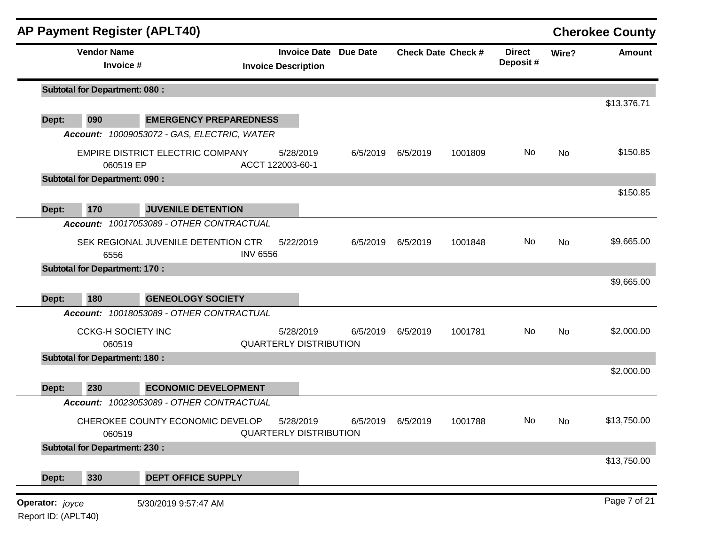|                 |                                      | <b>AP Payment Register (APLT40)</b>         |                 |                                                            |          |          |                           |                           |       | <b>Cherokee County</b> |
|-----------------|--------------------------------------|---------------------------------------------|-----------------|------------------------------------------------------------|----------|----------|---------------------------|---------------------------|-------|------------------------|
|                 | <b>Vendor Name</b><br>Invoice #      |                                             |                 | <b>Invoice Date Due Date</b><br><b>Invoice Description</b> |          |          | <b>Check Date Check #</b> | <b>Direct</b><br>Deposit# | Wire? | <b>Amount</b>          |
|                 | <b>Subtotal for Department: 080:</b> |                                             |                 |                                                            |          |          |                           |                           |       |                        |
| Dept:           | 090                                  | <b>EMERGENCY PREPAREDNESS</b>               |                 |                                                            |          |          |                           |                           |       | \$13,376.71            |
|                 |                                      | Account: 10009053072 - GAS, ELECTRIC, WATER |                 |                                                            |          |          |                           |                           |       |                        |
|                 | 060519 EP                            | EMPIRE DISTRICT ELECTRIC COMPANY            |                 | 5/28/2019<br>ACCT 122003-60-1                              | 6/5/2019 | 6/5/2019 | 1001809                   | No                        | No    | \$150.85               |
|                 | <b>Subtotal for Department: 090:</b> |                                             |                 |                                                            |          |          |                           |                           |       |                        |
|                 |                                      |                                             |                 |                                                            |          |          |                           |                           |       | \$150.85               |
| Dept:           | 170                                  | <b>JUVENILE DETENTION</b>                   |                 |                                                            |          |          |                           |                           |       |                        |
|                 |                                      | Account: 10017053089 - OTHER CONTRACTUAL    |                 |                                                            |          |          |                           |                           |       |                        |
|                 | 6556                                 | SEK REGIONAL JUVENILE DETENTION CTR         | <b>INV 6556</b> | 5/22/2019                                                  | 6/5/2019 | 6/5/2019 | 1001848                   | No                        | No    | \$9,665.00             |
|                 | <b>Subtotal for Department: 170:</b> |                                             |                 |                                                            |          |          |                           |                           |       |                        |
| Dept:           | 180                                  | <b>GENEOLOGY SOCIETY</b>                    |                 |                                                            |          |          |                           |                           |       | \$9,665.00             |
|                 |                                      | Account: 10018053089 - OTHER CONTRACTUAL    |                 |                                                            |          |          |                           |                           |       |                        |
|                 | <b>CCKG-H SOCIETY INC</b>            |                                             |                 | 5/28/2019                                                  | 6/5/2019 | 6/5/2019 | 1001781                   | No                        | No    | \$2,000.00             |
|                 | 060519                               |                                             |                 | <b>QUARTERLY DISTRIBUTION</b>                              |          |          |                           |                           |       |                        |
|                 | <b>Subtotal for Department: 180:</b> |                                             |                 |                                                            |          |          |                           |                           |       | \$2,000.00             |
| Dept:           | 230                                  | <b>ECONOMIC DEVELOPMENT</b>                 |                 |                                                            |          |          |                           |                           |       |                        |
|                 |                                      | Account: 10023053089 - OTHER CONTRACTUAL    |                 |                                                            |          |          |                           |                           |       |                        |
|                 | 060519                               | CHEROKEE COUNTY ECONOMIC DEVELOP            |                 | 5/28/2019<br><b>QUARTERLY DISTRIBUTION</b>                 | 6/5/2019 | 6/5/2019 | 1001788                   | No                        | No    | \$13,750.00            |
|                 | <b>Subtotal for Department: 230:</b> |                                             |                 |                                                            |          |          |                           |                           |       |                        |
|                 |                                      |                                             |                 |                                                            |          |          |                           |                           |       | \$13,750.00            |
| Dept:           | 330                                  | <b>DEPT OFFICE SUPPLY</b>                   |                 |                                                            |          |          |                           |                           |       |                        |
| Operator: joyce |                                      | 5/30/2019 9:57:47 AM                        |                 |                                                            |          |          |                           |                           |       | Page 7 of 21           |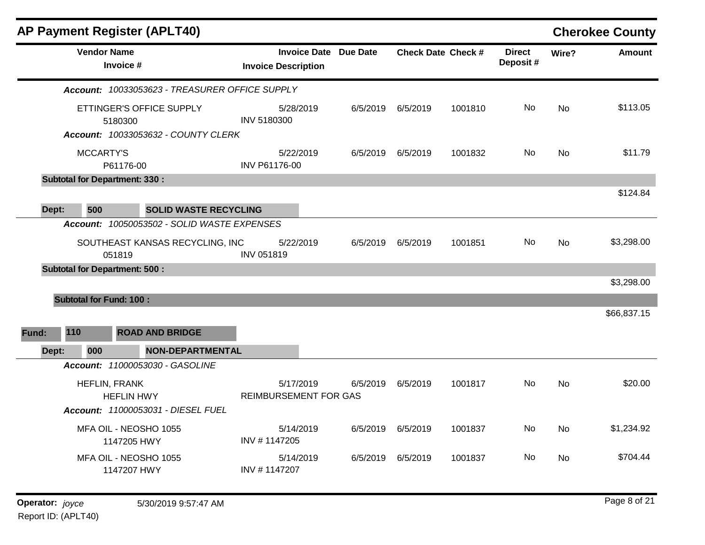|              |                                | <b>AP Payment Register (APLT40)</b>                                        |                              |                                           |                              |          |                           |                           |           | <b>Cherokee County</b> |
|--------------|--------------------------------|----------------------------------------------------------------------------|------------------------------|-------------------------------------------|------------------------------|----------|---------------------------|---------------------------|-----------|------------------------|
|              | <b>Vendor Name</b>             | Invoice #                                                                  |                              | <b>Invoice Description</b>                | <b>Invoice Date Due Date</b> |          | <b>Check Date Check #</b> | <b>Direct</b><br>Deposit# | Wire?     | <b>Amount</b>          |
|              |                                | Account: 10033053623 - TREASURER OFFICE SUPPLY                             |                              |                                           |                              |          |                           |                           |           |                        |
|              |                                | ETTINGER'S OFFICE SUPPLY<br>5180300<br>Account: 10033053632 - COUNTY CLERK |                              | 5/28/2019<br><b>INV 5180300</b>           | 6/5/2019                     | 6/5/2019 | 1001810                   | No                        | <b>No</b> | \$113.05               |
|              | <b>MCCARTY'S</b>               | P61176-00                                                                  |                              | 5/22/2019<br><b>INV P61176-00</b>         | 6/5/2019                     | 6/5/2019 | 1001832                   | No                        | <b>No</b> | \$11.79                |
|              |                                | <b>Subtotal for Department: 330:</b>                                       |                              |                                           |                              |          |                           |                           |           |                        |
| Dept:        | 500                            |                                                                            | <b>SOLID WASTE RECYCLING</b> |                                           |                              |          |                           |                           |           | \$124.84               |
|              |                                | Account: 10050053502 - SOLID WASTE EXPENSES                                |                              |                                           |                              |          |                           |                           |           |                        |
|              |                                | SOUTHEAST KANSAS RECYCLING, INC<br>051819                                  |                              | 5/22/2019<br><b>INV 051819</b>            | 6/5/2019                     | 6/5/2019 | 1001851                   | No.                       | No        | \$3,298.00             |
|              |                                | <b>Subtotal for Department: 500:</b>                                       |                              |                                           |                              |          |                           |                           |           |                        |
|              |                                |                                                                            |                              |                                           |                              |          |                           |                           |           | \$3,298.00             |
|              | <b>Subtotal for Fund: 100:</b> |                                                                            |                              |                                           |                              |          |                           |                           |           | \$66,837.15            |
| 110<br>Fund: |                                | <b>ROAD AND BRIDGE</b>                                                     |                              |                                           |                              |          |                           |                           |           |                        |
| Dept:        | 000                            |                                                                            | <b>NON-DEPARTMENTAL</b>      |                                           |                              |          |                           |                           |           |                        |
|              |                                | Account: 11000053030 - GASOLINE                                            |                              |                                           |                              |          |                           |                           |           |                        |
|              | HEFLIN, FRANK                  | <b>HEFLIN HWY</b><br>Account: 11000053031 - DIESEL FUEL                    |                              | 5/17/2019<br><b>REIMBURSEMENT FOR GAS</b> | 6/5/2019                     | 6/5/2019 | 1001817                   | No                        | <b>No</b> | \$20.00                |
|              |                                | MFA OIL - NEOSHO 1055<br>1147205 HWY                                       |                              | 5/14/2019<br>INV #1147205                 | 6/5/2019                     | 6/5/2019 | 1001837                   | No                        | <b>No</b> | \$1,234.92             |
|              |                                | MFA OIL - NEOSHO 1055<br>1147207 HWY                                       |                              | 5/14/2019<br>INV #1147207                 | 6/5/2019                     | 6/5/2019 | 1001837                   | No.                       | No        | \$704.44               |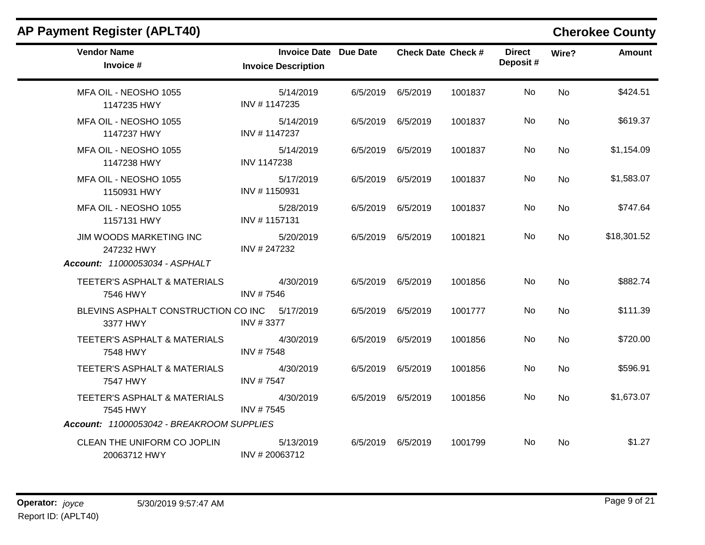| <b>Vendor Name</b><br>Invoice #                                         | <b>Invoice Date Due Date</b><br><b>Invoice Description</b> |          |                   | <b>Check Date Check #</b> | <b>Direct</b><br>Deposit # | Wire?     | <b>Amount</b> |
|-------------------------------------------------------------------------|------------------------------------------------------------|----------|-------------------|---------------------------|----------------------------|-----------|---------------|
| MFA OIL - NEOSHO 1055<br>1147235 HWY                                    | 5/14/2019<br>INV #1147235                                  |          | 6/5/2019 6/5/2019 | 1001837                   | No                         | <b>No</b> | \$424.51      |
| MFA OIL - NEOSHO 1055<br>1147237 HWY                                    | 5/14/2019<br>INV #1147237                                  |          | 6/5/2019 6/5/2019 | 1001837                   | No                         | <b>No</b> | \$619.37      |
| MFA OIL - NEOSHO 1055<br>1147238 HWY                                    | 5/14/2019<br><b>INV 1147238</b>                            |          | 6/5/2019 6/5/2019 | 1001837                   | No                         | <b>No</b> | \$1,154.09    |
| MFA OIL - NEOSHO 1055<br>1150931 HWY                                    | 5/17/2019<br>INV #1150931                                  |          | 6/5/2019 6/5/2019 | 1001837                   | No                         | <b>No</b> | \$1,583.07    |
| MFA OIL - NEOSHO 1055<br>1157131 HWY                                    | 5/28/2019<br>INV #1157131                                  |          | 6/5/2019 6/5/2019 | 1001837                   | No                         | No        | \$747.64      |
| JIM WOODS MARKETING INC<br>247232 HWY<br>Account: 11000053034 - ASPHALT | 5/20/2019<br>INV #247232                                   |          | 6/5/2019 6/5/2019 | 1001821                   | No                         | No        | \$18,301.52   |
| TEETER'S ASPHALT & MATERIALS<br>7546 HWY                                | 4/30/2019<br>INV #7546                                     |          | 6/5/2019 6/5/2019 | 1001856                   | No                         | No        | \$882.74      |
| BLEVINS ASPHALT CONSTRUCTION CO INC 5/17/2019<br>3377 HWY               | INV #3377                                                  |          | 6/5/2019 6/5/2019 | 1001777                   | No                         | <b>No</b> | \$111.39      |
| TEETER'S ASPHALT & MATERIALS<br>7548 HWY                                | 4/30/2019<br>INV #7548                                     |          | 6/5/2019 6/5/2019 | 1001856                   | No                         | No        | \$720.00      |
| TEETER'S ASPHALT & MATERIALS<br>7547 HWY                                | 4/30/2019<br><b>INV #7547</b>                              | 6/5/2019 | 6/5/2019          | 1001856                   | No                         | <b>No</b> | \$596.91      |
| TEETER'S ASPHALT & MATERIALS<br>7545 HWY                                | 4/30/2019<br>INV #7545                                     |          | 6/5/2019 6/5/2019 | 1001856                   | No                         | No        | \$1,673.07    |
| Account: 11000053042 - BREAKROOM SUPPLIES                               |                                                            |          |                   |                           |                            |           |               |
| CLEAN THE UNIFORM CO JOPLIN<br>20063712 HWY                             | 5/13/2019<br>INV #20063712                                 |          | 6/5/2019 6/5/2019 | 1001799                   | No.                        | No        | \$1.27        |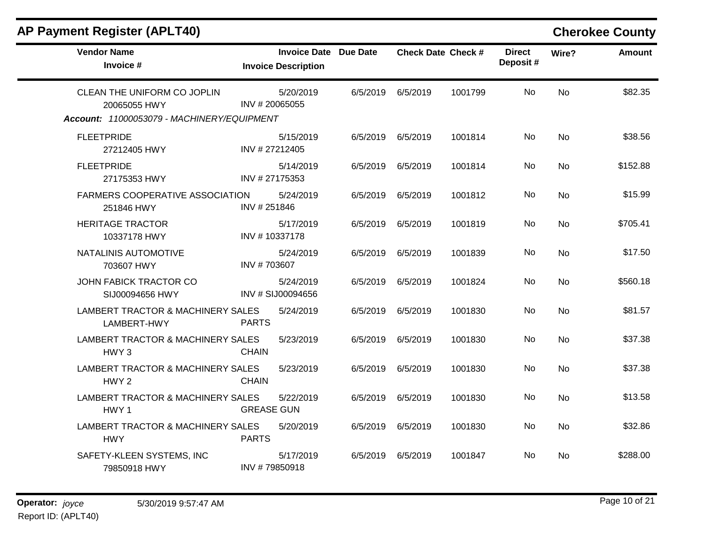| <b>AP Payment Register (APLT40)</b>                                                       |                                                            |          |                           |         |                           |           | <b>Cherokee County</b> |
|-------------------------------------------------------------------------------------------|------------------------------------------------------------|----------|---------------------------|---------|---------------------------|-----------|------------------------|
| <b>Vendor Name</b><br>Invoice #                                                           | <b>Invoice Date Due Date</b><br><b>Invoice Description</b> |          | <b>Check Date Check #</b> |         | <b>Direct</b><br>Deposit# | Wire?     | Amount                 |
| CLEAN THE UNIFORM CO JOPLIN<br>20065055 HWY<br>Account: 11000053079 - MACHINERY/EQUIPMENT | 5/20/2019<br>INV # 20065055                                | 6/5/2019 | 6/5/2019                  | 1001799 | No.                       | No        | \$82.35                |
| <b>FLEETPRIDE</b><br>27212405 HWY                                                         | 5/15/2019<br>INV #27212405                                 | 6/5/2019 | 6/5/2019                  | 1001814 | No.                       | <b>No</b> | \$38.56                |
| <b>FLEETPRIDE</b><br>27175353 HWY                                                         | 5/14/2019<br>INV # 27175353                                | 6/5/2019 | 6/5/2019                  | 1001814 | No                        | No        | \$152.88               |
| <b>FARMERS COOPERATIVE ASSOCIATION</b><br>251846 HWY                                      | 5/24/2019<br>INV #251846                                   | 6/5/2019 | 6/5/2019                  | 1001812 | No                        | No        | \$15.99                |
| <b>HERITAGE TRACTOR</b><br>10337178 HWY                                                   | 5/17/2019<br>INV #10337178                                 | 6/5/2019 | 6/5/2019                  | 1001819 | No.                       | <b>No</b> | \$705.41               |
| NATALINIS AUTOMOTIVE<br>703607 HWY                                                        | 5/24/2019<br>INV #703607                                   | 6/5/2019 | 6/5/2019                  | 1001839 | No                        | <b>No</b> | \$17.50                |
| JOHN FABICK TRACTOR CO<br>SIJ00094656 HWY                                                 | 5/24/2019<br>INV # SIJ00094656                             | 6/5/2019 | 6/5/2019                  | 1001824 | No                        | <b>No</b> | \$560.18               |
| LAMBERT TRACTOR & MACHINERY SALES<br>LAMBERT-HWY                                          | 5/24/2019<br><b>PARTS</b>                                  | 6/5/2019 | 6/5/2019                  | 1001830 | No                        | <b>No</b> | \$81.57                |
| LAMBERT TRACTOR & MACHINERY SALES<br>HWY <sub>3</sub>                                     | 5/23/2019<br><b>CHAIN</b>                                  | 6/5/2019 | 6/5/2019                  | 1001830 | No                        | <b>No</b> | \$37.38                |
| LAMBERT TRACTOR & MACHINERY SALES<br>HWY <sub>2</sub>                                     | 5/23/2019<br><b>CHAIN</b>                                  | 6/5/2019 | 6/5/2019                  | 1001830 | No.                       | <b>No</b> | \$37.38                |
| LAMBERT TRACTOR & MACHINERY SALES<br>HWY <sub>1</sub>                                     | 5/22/2019<br><b>GREASE GUN</b>                             | 6/5/2019 | 6/5/2019                  | 1001830 | No                        | No        | \$13.58                |
| LAMBERT TRACTOR & MACHINERY SALES<br><b>HWY</b>                                           | 5/20/2019<br><b>PARTS</b>                                  | 6/5/2019 | 6/5/2019                  | 1001830 | No                        | No        | \$32.86                |
| SAFETY-KLEEN SYSTEMS, INC<br>79850918 HWY                                                 | 5/17/2019<br>INV #79850918                                 | 6/5/2019 | 6/5/2019                  | 1001847 | No.                       | <b>No</b> | \$288.00               |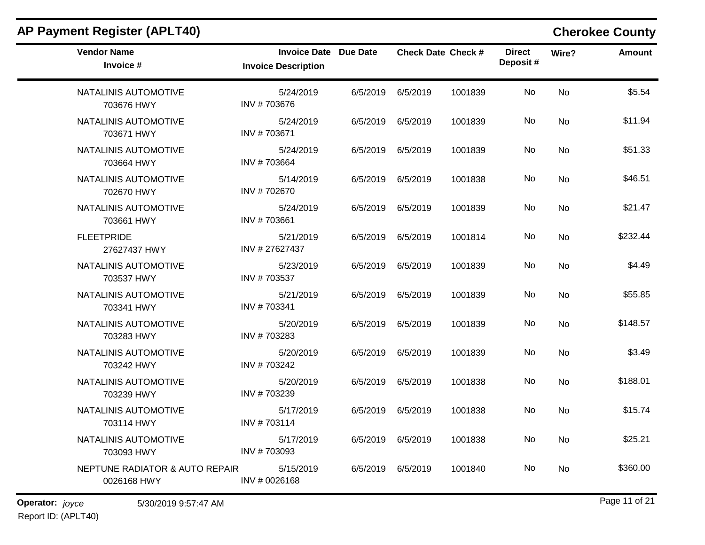| <b>AP Payment Register (APLT40)</b>           |                                                            |          |                           |         |                           |           | <b>Cherokee County</b> |
|-----------------------------------------------|------------------------------------------------------------|----------|---------------------------|---------|---------------------------|-----------|------------------------|
| <b>Vendor Name</b><br>Invoice #               | <b>Invoice Date Due Date</b><br><b>Invoice Description</b> |          | <b>Check Date Check #</b> |         | <b>Direct</b><br>Deposit# | Wire?     | <b>Amount</b>          |
| NATALINIS AUTOMOTIVE<br>703676 HWY            | 5/24/2019<br>INV #703676                                   | 6/5/2019 | 6/5/2019                  | 1001839 | No                        | <b>No</b> | \$5.54                 |
| NATALINIS AUTOMOTIVE<br>703671 HWY            | 5/24/2019<br>INV #703671                                   | 6/5/2019 | 6/5/2019                  | 1001839 | No                        | <b>No</b> | \$11.94                |
| NATALINIS AUTOMOTIVE<br>703664 HWY            | 5/24/2019<br>INV #703664                                   | 6/5/2019 | 6/5/2019                  | 1001839 | No.                       | No        | \$51.33                |
| NATALINIS AUTOMOTIVE<br>702670 HWY            | 5/14/2019<br>INV #702670                                   | 6/5/2019 | 6/5/2019                  | 1001838 | No                        | <b>No</b> | \$46.51                |
| NATALINIS AUTOMOTIVE<br>703661 HWY            | 5/24/2019<br>INV #703661                                   | 6/5/2019 | 6/5/2019                  | 1001839 | No                        | <b>No</b> | \$21.47                |
| <b>FLEETPRIDE</b><br>27627437 HWY             | 5/21/2019<br>INV #27627437                                 | 6/5/2019 | 6/5/2019                  | 1001814 | No                        | <b>No</b> | \$232.44               |
| NATALINIS AUTOMOTIVE<br>703537 HWY            | 5/23/2019<br>INV #703537                                   | 6/5/2019 | 6/5/2019                  | 1001839 | No                        | No        | \$4.49                 |
| NATALINIS AUTOMOTIVE<br>703341 HWY            | 5/21/2019<br>INV #703341                                   | 6/5/2019 | 6/5/2019                  | 1001839 | No                        | <b>No</b> | \$55.85                |
| NATALINIS AUTOMOTIVE<br>703283 HWY            | 5/20/2019<br>INV #703283                                   | 6/5/2019 | 6/5/2019                  | 1001839 | No                        | <b>No</b> | \$148.57               |
| NATALINIS AUTOMOTIVE<br>703242 HWY            | 5/20/2019<br>INV #703242                                   | 6/5/2019 | 6/5/2019                  | 1001839 | No                        | No        | \$3.49                 |
| NATALINIS AUTOMOTIVE<br>703239 HWY            | 5/20/2019<br>INV #703239                                   | 6/5/2019 | 6/5/2019                  | 1001838 | No                        | <b>No</b> | \$188.01               |
| NATALINIS AUTOMOTIVE<br>703114 HWY            | 5/17/2019<br>INV #703114                                   | 6/5/2019 | 6/5/2019                  | 1001838 | No                        | <b>No</b> | \$15.74                |
| NATALINIS AUTOMOTIVE<br>703093 HWY            | 5/17/2019<br>INV #703093                                   |          | 6/5/2019 6/5/2019         | 1001838 | No                        | No        | \$25.21                |
| NEPTUNE RADIATOR & AUTO REPAIR<br>0026168 HWY | 5/15/2019<br>INV # 0026168                                 |          | 6/5/2019 6/5/2019         | 1001840 | No                        | No        | \$360.00               |

## **Operator:** joyce 5/30/2019 9:57:47 AM **Page 11 of 21** Report ID: (APLT40)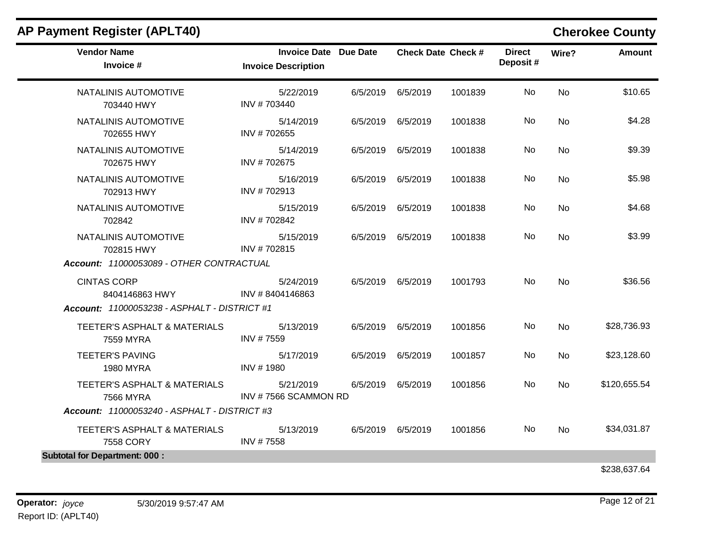| <b>Vendor Name</b><br>Invoice #                      | <b>Invoice Date Due Date</b><br><b>Invoice Description</b> |          |                   | <b>Check Date Check #</b> | <b>Direct</b><br>Deposit# | Wire?     | Amount       |
|------------------------------------------------------|------------------------------------------------------------|----------|-------------------|---------------------------|---------------------------|-----------|--------------|
| NATALINIS AUTOMOTIVE<br>703440 HWY                   | 5/22/2019<br>INV #703440                                   | 6/5/2019 | 6/5/2019          | 1001839                   | No                        | <b>No</b> | \$10.65      |
| NATALINIS AUTOMOTIVE<br>702655 HWY                   | 5/14/2019<br>INV #702655                                   |          | 6/5/2019 6/5/2019 | 1001838                   | No                        | No        | \$4.28       |
| NATALINIS AUTOMOTIVE<br>702675 HWY                   | 5/14/2019<br>INV #702675                                   | 6/5/2019 | 6/5/2019          | 1001838                   | No                        | <b>No</b> | \$9.39       |
| <b>NATALINIS AUTOMOTIVE</b><br>702913 HWY            | 5/16/2019<br>INV #702913                                   |          | 6/5/2019 6/5/2019 | 1001838                   | No                        | No        | \$5.98       |
| NATALINIS AUTOMOTIVE<br>702842                       | 5/15/2019<br>INV #702842                                   | 6/5/2019 | 6/5/2019          | 1001838                   | No                        | No        | \$4.68       |
| NATALINIS AUTOMOTIVE<br>702815 HWY                   | 5/15/2019<br>INV #702815                                   | 6/5/2019 | 6/5/2019          | 1001838                   | No                        | <b>No</b> | \$3.99       |
| Account: 11000053089 - OTHER CONTRACTUAL             |                                                            |          |                   |                           |                           |           |              |
| <b>CINTAS CORP</b><br>8404146863 HWY                 | 5/24/2019<br>INV #8404146863                               |          | 6/5/2019 6/5/2019 | 1001793                   | No                        | <b>No</b> | \$36.56      |
| Account: 11000053238 - ASPHALT - DISTRICT #1         |                                                            |          |                   |                           |                           |           |              |
| <b>TEETER'S ASPHALT &amp; MATERIALS</b><br>7559 MYRA | 5/13/2019<br>INV #7559                                     |          | 6/5/2019 6/5/2019 | 1001856                   | No                        | <b>No</b> | \$28,736.93  |
| <b>TEETER'S PAVING</b><br><b>1980 MYRA</b>           | 5/17/2019<br>INV #1980                                     | 6/5/2019 | 6/5/2019          | 1001857                   | No                        | No        | \$23,128.60  |
| TEETER'S ASPHALT & MATERIALS<br>7566 MYRA            | 5/21/2019<br>INV #7566 SCAMMON RD                          | 6/5/2019 | 6/5/2019          | 1001856                   | No.                       | <b>No</b> | \$120,655.54 |
| Account: 11000053240 - ASPHALT - DISTRICT #3         |                                                            |          |                   |                           |                           |           |              |
| TEETER'S ASPHALT & MATERIALS<br>7558 CORY            | 5/13/2019<br>INV #7558                                     | 6/5/2019 | 6/5/2019          | 1001856                   | No                        | <b>No</b> | \$34,031.87  |
| <b>Subtotal for Department: 000:</b>                 |                                                            |          |                   |                           |                           |           |              |
|                                                      |                                                            |          |                   |                           |                           |           | \$238,637.64 |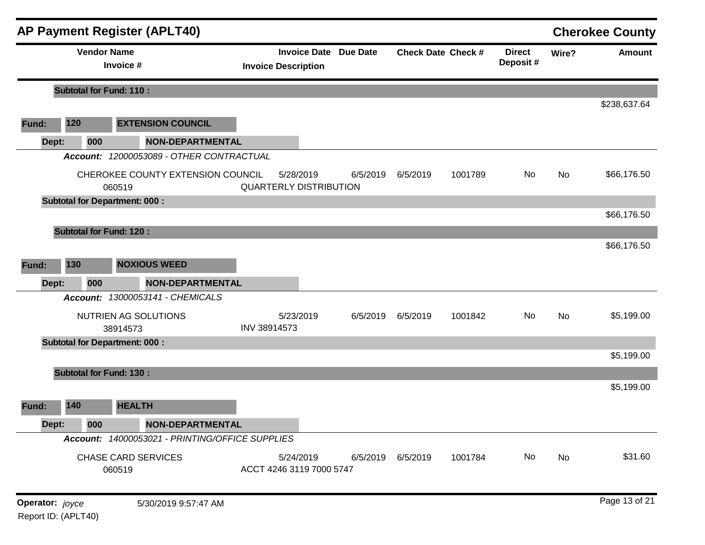|                 |     | <b>AP Payment Register (APLT40)</b>             |                               |                     |                 |          |                           |                           |       | <b>Cherokee County</b> |
|-----------------|-----|-------------------------------------------------|-------------------------------|---------------------|-----------------|----------|---------------------------|---------------------------|-------|------------------------|
|                 |     | <b>Vendor Name</b><br>Invoice #                 | <b>Invoice Description</b>    | <b>Invoice Date</b> | <b>Due Date</b> |          | <b>Check Date Check #</b> | <b>Direct</b><br>Deposit# | Wire? | <b>Amount</b>          |
|                 |     | <b>Subtotal for Fund: 110:</b>                  |                               |                     |                 |          |                           |                           |       |                        |
|                 |     |                                                 |                               |                     |                 |          |                           |                           |       | \$238,637.64           |
| Fund:           | 120 | <b>EXTENSION COUNCIL</b>                        |                               |                     |                 |          |                           |                           |       |                        |
| Dept:           | 000 | <b>NON-DEPARTMENTAL</b>                         |                               |                     |                 |          |                           |                           |       |                        |
|                 |     | Account: 12000053089 - OTHER CONTRACTUAL        |                               |                     |                 |          |                           |                           |       |                        |
|                 |     | CHEROKEE COUNTY EXTENSION COUNCIL<br>060519     | <b>QUARTERLY DISTRIBUTION</b> | 5/28/2019           | 6/5/2019        | 6/5/2019 | 1001789                   | No                        | No    | \$66,176.50            |
|                 |     | <b>Subtotal for Department: 000:</b>            |                               |                     |                 |          |                           |                           |       |                        |
|                 |     |                                                 |                               |                     |                 |          |                           |                           |       | \$66,176.50            |
|                 |     | <b>Subtotal for Fund: 120:</b>                  |                               |                     |                 |          |                           |                           |       |                        |
|                 |     |                                                 |                               |                     |                 |          |                           |                           |       | \$66,176.50            |
| Fund:           | 130 | <b>NOXIOUS WEED</b>                             |                               |                     |                 |          |                           |                           |       |                        |
| Dept:           | 000 | <b>NON-DEPARTMENTAL</b>                         |                               |                     |                 |          |                           |                           |       |                        |
|                 |     | Account: 13000053141 - CHEMICALS                |                               |                     |                 |          |                           |                           |       |                        |
|                 |     | NUTRIEN AG SOLUTIONS<br>38914573                | INV 38914573                  | 5/23/2019           | 6/5/2019        | 6/5/2019 | 1001842                   | No                        | No    | \$5,199.00             |
|                 |     | <b>Subtotal for Department: 000:</b>            |                               |                     |                 |          |                           |                           |       |                        |
|                 |     |                                                 |                               |                     |                 |          |                           |                           |       | \$5,199.00             |
|                 |     | <b>Subtotal for Fund: 130:</b>                  |                               |                     |                 |          |                           |                           |       |                        |
|                 |     |                                                 |                               |                     |                 |          |                           |                           |       | \$5,199.00             |
| Fund:           | 140 | <b>HEALTH</b>                                   |                               |                     |                 |          |                           |                           |       |                        |
| Dept:           | 000 | <b>NON-DEPARTMENTAL</b>                         |                               |                     |                 |          |                           |                           |       |                        |
|                 |     | Account: 14000053021 - PRINTING/OFFICE SUPPLIES |                               |                     |                 |          |                           |                           |       |                        |
|                 |     | <b>CHASE CARD SERVICES</b><br>060519            | ACCT 4246 3119 7000 5747      | 5/24/2019           | 6/5/2019        | 6/5/2019 | 1001784                   | No                        | No    | \$31.60                |
| Operator: joyce |     | 5/30/2019 9:57:47 AM                            |                               |                     |                 |          |                           |                           |       | Page 13 of 21          |

Report ID: (APLT40)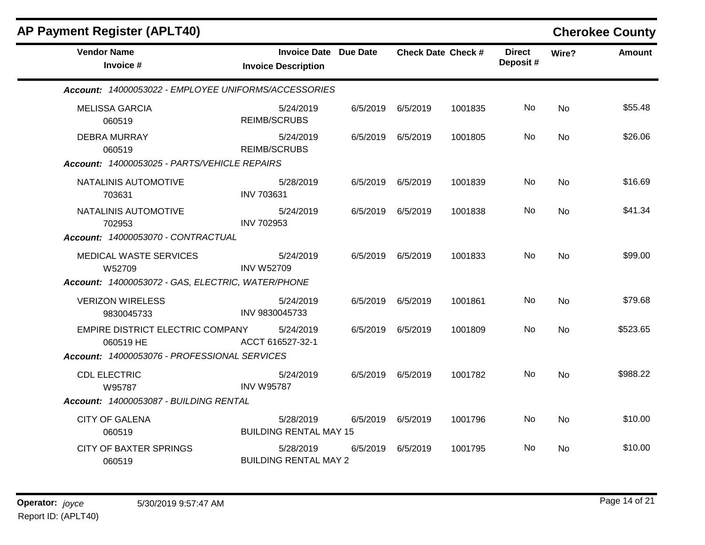| <b>Vendor Name</b>                                   | <b>Invoice Date Due Date</b>               |          |                   | <b>Check Date Check #</b> | <b>Direct</b> | Wire?          | <b>Amount</b> |
|------------------------------------------------------|--------------------------------------------|----------|-------------------|---------------------------|---------------|----------------|---------------|
| Invoice #                                            | <b>Invoice Description</b>                 |          |                   |                           | Deposit#      |                |               |
| Account: 14000053022 - EMPLOYEE UNIFORMS/ACCESSORIES |                                            |          |                   |                           |               |                |               |
| <b>MELISSA GARCIA</b><br>060519                      | 5/24/2019<br><b>REIMB/SCRUBS</b>           |          | 6/5/2019 6/5/2019 | 1001835                   | No            | No             | \$55.48       |
| <b>DEBRA MURRAY</b><br>060519                        | 5/24/2019<br><b>REIMB/SCRUBS</b>           |          | 6/5/2019 6/5/2019 | 1001805                   | No            | No.            | \$26.06       |
| Account: 14000053025 - PARTS/VEHICLE REPAIRS         |                                            |          |                   |                           |               |                |               |
| NATALINIS AUTOMOTIVE<br>703631                       | 5/28/2019<br><b>INV 703631</b>             |          | 6/5/2019 6/5/2019 | 1001839                   | No.           | <b>No</b>      | \$16.69       |
| NATALINIS AUTOMOTIVE<br>702953                       | 5/24/2019<br><b>INV 702953</b>             | 6/5/2019 | 6/5/2019          | 1001838                   | No            | <b>No</b>      | \$41.34       |
| Account: 14000053070 - CONTRACTUAL                   |                                            |          |                   |                           |               |                |               |
| MEDICAL WASTE SERVICES<br>W52709                     | 5/24/2019<br><b>INV W52709</b>             |          | 6/5/2019 6/5/2019 | 1001833                   | No.           | No             | \$99.00       |
| Account: 14000053072 - GAS, ELECTRIC, WATER/PHONE    |                                            |          |                   |                           |               |                |               |
| <b>VERIZON WIRELESS</b><br>9830045733                | 5/24/2019<br>INV 9830045733                |          | 6/5/2019 6/5/2019 | 1001861                   | No.           | <b>No</b>      | \$79.68       |
| EMPIRE DISTRICT ELECTRIC COMPANY<br>060519 HE        | 5/24/2019<br>ACCT 616527-32-1              |          | 6/5/2019 6/5/2019 | 1001809                   | No.           | <b>No</b>      | \$523.65      |
| Account: 14000053076 - PROFESSIONAL SERVICES         |                                            |          |                   |                           |               |                |               |
| <b>CDL ELECTRIC</b><br>W95787                        | 5/24/2019<br><b>INV W95787</b>             |          | 6/5/2019 6/5/2019 | 1001782                   | No.           | <b>No</b>      | \$988.22      |
| Account: 14000053087 - BUILDING RENTAL               |                                            |          |                   |                           |               |                |               |
| <b>CITY OF GALENA</b><br>060519                      | 5/28/2019<br><b>BUILDING RENTAL MAY 15</b> |          | 6/5/2019 6/5/2019 | 1001796                   | No            | <b>No</b>      | \$10.00       |
| <b>CITY OF BAXTER SPRINGS</b><br>060519              | 5/28/2019<br><b>BUILDING RENTAL MAY 2</b>  |          | 6/5/2019 6/5/2019 | 1001795                   | No.           | N <sub>o</sub> | \$10.00       |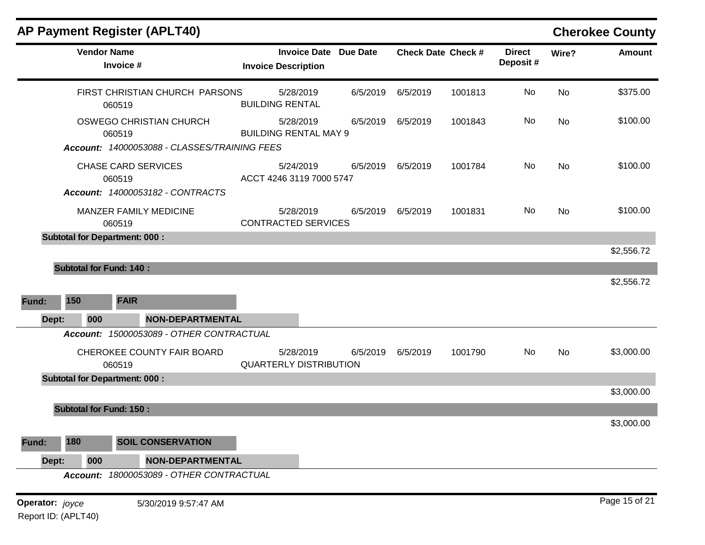|                 |                                | AP Payment Register (APLT40)                 |                                                            |          |          |                           |                           |           | <b>Cherokee County</b> |
|-----------------|--------------------------------|----------------------------------------------|------------------------------------------------------------|----------|----------|---------------------------|---------------------------|-----------|------------------------|
|                 | <b>Vendor Name</b>             | Invoice #                                    | <b>Invoice Date Due Date</b><br><b>Invoice Description</b> |          |          | <b>Check Date Check #</b> | <b>Direct</b><br>Deposit# | Wire?     | <b>Amount</b>          |
|                 |                                | FIRST CHRISTIAN CHURCH PARSONS<br>060519     | 5/28/2019<br><b>BUILDING RENTAL</b>                        | 6/5/2019 | 6/5/2019 | 1001813                   | No                        | No        | \$375.00               |
|                 |                                | OSWEGO CHRISTIAN CHURCH<br>060519            | 5/28/2019<br><b>BUILDING RENTAL MAY 9</b>                  | 6/5/2019 | 6/5/2019 | 1001843                   | No                        | No        | \$100.00               |
|                 |                                | Account: 14000053088 - CLASSES/TRAINING FEES |                                                            |          |          |                           |                           |           |                        |
|                 |                                | <b>CHASE CARD SERVICES</b><br>060519         | 5/24/2019<br>ACCT 4246 3119 7000 5747                      | 6/5/2019 | 6/5/2019 | 1001784                   | No                        | <b>No</b> | \$100.00               |
|                 |                                | Account: 14000053182 - CONTRACTS             |                                                            |          |          |                           |                           |           |                        |
|                 |                                | MANZER FAMILY MEDICINE<br>060519             | 5/28/2019<br><b>CONTRACTED SERVICES</b>                    | 6/5/2019 | 6/5/2019 | 1001831                   | No                        | <b>No</b> | \$100.00               |
|                 |                                | <b>Subtotal for Department: 000:</b>         |                                                            |          |          |                           |                           |           |                        |
|                 |                                |                                              |                                                            |          |          |                           |                           |           | \$2,556.72             |
|                 | <b>Subtotal for Fund: 140:</b> |                                              |                                                            |          |          |                           |                           |           |                        |
|                 |                                |                                              |                                                            |          |          |                           |                           |           | \$2,556.72             |
| Fund:           | 150                            | <b>FAIR</b>                                  |                                                            |          |          |                           |                           |           |                        |
| Dept:           | 000                            | <b>NON-DEPARTMENTAL</b>                      |                                                            |          |          |                           |                           |           |                        |
|                 |                                | Account: 15000053089 - OTHER CONTRACTUAL     |                                                            |          |          |                           |                           |           |                        |
|                 |                                | CHEROKEE COUNTY FAIR BOARD<br>060519         | 5/28/2019<br><b>QUARTERLY DISTRIBUTION</b>                 | 6/5/2019 | 6/5/2019 | 1001790                   | No                        | <b>No</b> | \$3,000.00             |
|                 |                                | <b>Subtotal for Department: 000:</b>         |                                                            |          |          |                           |                           |           |                        |
|                 |                                |                                              |                                                            |          |          |                           |                           |           | \$3,000.00             |
|                 | <b>Subtotal for Fund: 150:</b> |                                              |                                                            |          |          |                           |                           |           |                        |
|                 |                                |                                              |                                                            |          |          |                           |                           |           | \$3,000.00             |
| Fund:           | 180                            | <b>SOIL CONSERVATION</b>                     |                                                            |          |          |                           |                           |           |                        |
| Dept:           | 000                            | <b>NON-DEPARTMENTAL</b>                      |                                                            |          |          |                           |                           |           |                        |
|                 |                                | Account: 18000053089 - OTHER CONTRACTUAL     |                                                            |          |          |                           |                           |           |                        |
| Operator: joyce |                                | 5/30/2019 9:57:47 AM                         |                                                            |          |          |                           |                           |           | Page 15 of 21          |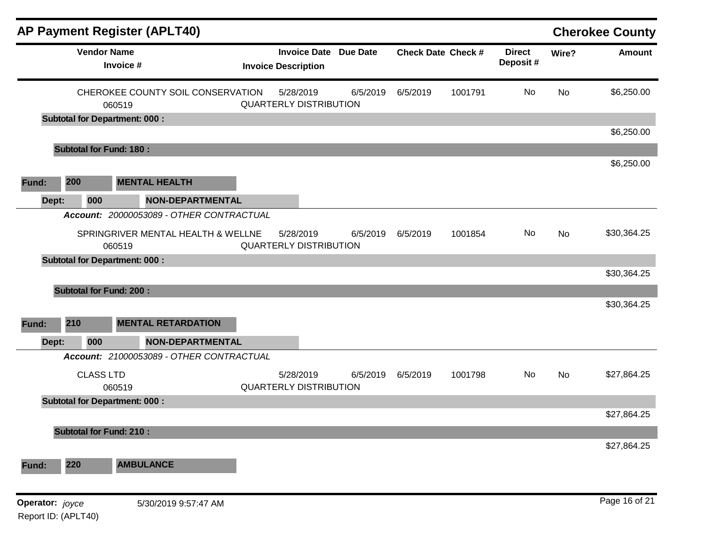|                 |                                      |           | <b>AP Payment Register (APLT40)</b>      |                                                            |          |                           |         |                           |           | <b>Cherokee County</b> |
|-----------------|--------------------------------------|-----------|------------------------------------------|------------------------------------------------------------|----------|---------------------------|---------|---------------------------|-----------|------------------------|
|                 | <b>Vendor Name</b>                   | Invoice # |                                          | <b>Invoice Date Due Date</b><br><b>Invoice Description</b> |          | <b>Check Date Check #</b> |         | <b>Direct</b><br>Deposit# | Wire?     | <b>Amount</b>          |
|                 |                                      | 060519    | CHEROKEE COUNTY SOIL CONSERVATION        | 5/28/2019<br><b>QUARTERLY DISTRIBUTION</b>                 | 6/5/2019 | 6/5/2019                  | 1001791 | <b>No</b>                 | <b>No</b> | \$6,250.00             |
|                 | <b>Subtotal for Department: 000:</b> |           |                                          |                                                            |          |                           |         |                           |           |                        |
|                 |                                      |           |                                          |                                                            |          |                           |         |                           |           | \$6,250.00             |
|                 | <b>Subtotal for Fund: 180:</b>       |           |                                          |                                                            |          |                           |         |                           |           | \$6,250.00             |
| Fund:           | 200                                  |           | <b>MENTAL HEALTH</b>                     |                                                            |          |                           |         |                           |           |                        |
| Dept:           | 000                                  |           | <b>NON-DEPARTMENTAL</b>                  |                                                            |          |                           |         |                           |           |                        |
|                 |                                      |           | Account: 20000053089 - OTHER CONTRACTUAL |                                                            |          |                           |         |                           |           |                        |
|                 |                                      | 060519    | SPRINGRIVER MENTAL HEALTH & WELLNE       | 5/28/2019<br><b>QUARTERLY DISTRIBUTION</b>                 | 6/5/2019 | 6/5/2019                  | 1001854 | No                        | No        | \$30,364.25            |
|                 | <b>Subtotal for Department: 000:</b> |           |                                          |                                                            |          |                           |         |                           |           |                        |
|                 |                                      |           |                                          |                                                            |          |                           |         |                           |           | \$30,364.25            |
|                 | <b>Subtotal for Fund: 200:</b>       |           |                                          |                                                            |          |                           |         |                           |           |                        |
|                 |                                      |           |                                          |                                                            |          |                           |         |                           |           | \$30,364.25            |
| Fund:           | 210                                  |           | <b>MENTAL RETARDATION</b>                |                                                            |          |                           |         |                           |           |                        |
| Dept:           | 000                                  |           | <b>NON-DEPARTMENTAL</b>                  |                                                            |          |                           |         |                           |           |                        |
|                 |                                      |           | Account: 21000053089 - OTHER CONTRACTUAL |                                                            |          |                           |         |                           |           |                        |
|                 | <b>CLASS LTD</b>                     | 060519    |                                          | 5/28/2019<br><b>QUARTERLY DISTRIBUTION</b>                 | 6/5/2019 | 6/5/2019                  | 1001798 | No                        | <b>No</b> | \$27,864.25            |
|                 | <b>Subtotal for Department: 000:</b> |           |                                          |                                                            |          |                           |         |                           |           |                        |
|                 |                                      |           |                                          |                                                            |          |                           |         |                           |           | \$27,864.25            |
|                 | <b>Subtotal for Fund: 210:</b>       |           |                                          |                                                            |          |                           |         |                           |           | \$27,864.25            |
| Fund:           | 220                                  |           | <b>AMBULANCE</b>                         |                                                            |          |                           |         |                           |           |                        |
|                 |                                      |           |                                          |                                                            |          |                           |         |                           |           |                        |
| Operator: joyce | Report ID: (APLT40)                  |           | 5/30/2019 9:57:47 AM                     |                                                            |          |                           |         |                           |           | Page 16 of 21          |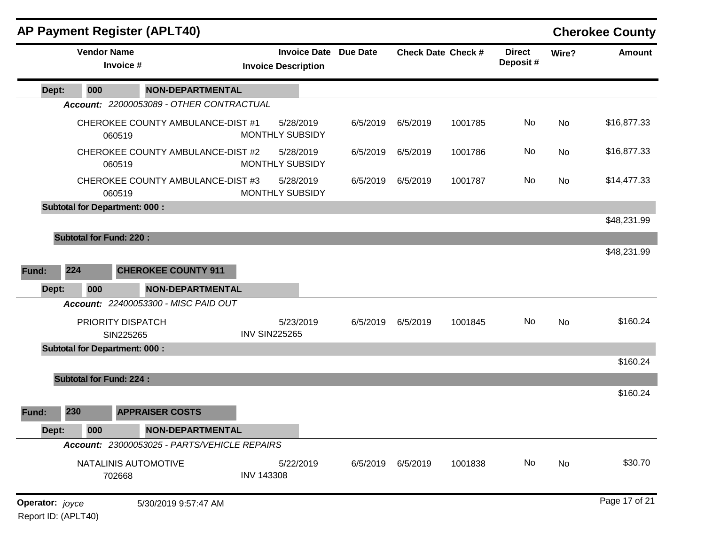|                        |                                | <b>AP Payment Register (APLT40)</b>          |                      |                                                            |          |                           |         |                           |       | <b>Cherokee County</b> |
|------------------------|--------------------------------|----------------------------------------------|----------------------|------------------------------------------------------------|----------|---------------------------|---------|---------------------------|-------|------------------------|
|                        | <b>Vendor Name</b>             | Invoice #                                    |                      | <b>Invoice Date Due Date</b><br><b>Invoice Description</b> |          | <b>Check Date Check #</b> |         | <b>Direct</b><br>Deposit# | Wire? | <b>Amount</b>          |
| Dept:                  | 000                            | <b>NON-DEPARTMENTAL</b>                      |                      |                                                            |          |                           |         |                           |       |                        |
|                        |                                | Account: 22000053089 - OTHER CONTRACTUAL     |                      |                                                            |          |                           |         |                           |       |                        |
|                        |                                | CHEROKEE COUNTY AMBULANCE-DIST #1<br>060519  |                      | 5/28/2019<br><b>MONTHLY SUBSIDY</b>                        | 6/5/2019 | 6/5/2019                  | 1001785 | No                        | No    | \$16,877.33            |
|                        |                                | CHEROKEE COUNTY AMBULANCE-DIST #2<br>060519  |                      | 5/28/2019<br><b>MONTHLY SUBSIDY</b>                        | 6/5/2019 | 6/5/2019                  | 1001786 | No                        | No    | \$16,877.33            |
|                        |                                | CHEROKEE COUNTY AMBULANCE-DIST #3<br>060519  |                      | 5/28/2019<br><b>MONTHLY SUBSIDY</b>                        | 6/5/2019 | 6/5/2019                  | 1001787 | No                        | No    | \$14,477.33            |
|                        |                                | <b>Subtotal for Department: 000:</b>         |                      |                                                            |          |                           |         |                           |       |                        |
|                        |                                |                                              |                      |                                                            |          |                           |         |                           |       | \$48,231.99            |
|                        | <b>Subtotal for Fund: 220:</b> |                                              |                      |                                                            |          |                           |         |                           |       |                        |
|                        |                                |                                              |                      |                                                            |          |                           |         |                           |       | \$48,231.99            |
| Fund:                  | 224                            | <b>CHEROKEE COUNTY 911</b>                   |                      |                                                            |          |                           |         |                           |       |                        |
| Dept:                  | 000                            | <b>NON-DEPARTMENTAL</b>                      |                      |                                                            |          |                           |         |                           |       |                        |
|                        |                                | Account: 22400053300 - MISC PAID OUT         |                      |                                                            |          |                           |         |                           |       |                        |
|                        |                                | PRIORITY DISPATCH                            |                      | 5/23/2019                                                  | 6/5/2019 | 6/5/2019                  | 1001845 | No                        | No    | \$160.24               |
|                        |                                | SIN225265                                    | <b>INV SIN225265</b> |                                                            |          |                           |         |                           |       |                        |
|                        |                                | <b>Subtotal for Department: 000:</b>         |                      |                                                            |          |                           |         |                           |       |                        |
|                        |                                |                                              |                      |                                                            |          |                           |         |                           |       | \$160.24               |
|                        | <b>Subtotal for Fund: 224:</b> |                                              |                      |                                                            |          |                           |         |                           |       |                        |
|                        |                                |                                              |                      |                                                            |          |                           |         |                           |       | \$160.24               |
| Fund:                  | 230                            | <b>APPRAISER COSTS</b>                       |                      |                                                            |          |                           |         |                           |       |                        |
| Dept:                  | 000                            | <b>NON-DEPARTMENTAL</b>                      |                      |                                                            |          |                           |         |                           |       |                        |
|                        |                                | Account: 23000053025 - PARTS/VEHICLE REPAIRS |                      |                                                            |          |                           |         |                           |       |                        |
|                        |                                | NATALINIS AUTOMOTIVE<br>702668               | <b>INV 143308</b>    | 5/22/2019                                                  | 6/5/2019 | 6/5/2019                  | 1001838 | No                        | No    | \$30.70                |
| <b>Operator:</b> joyce |                                | 5/30/2019 9:57:47 AM                         |                      |                                                            |          |                           |         |                           |       | Page 17 of 21          |

Report ID: (APLT40)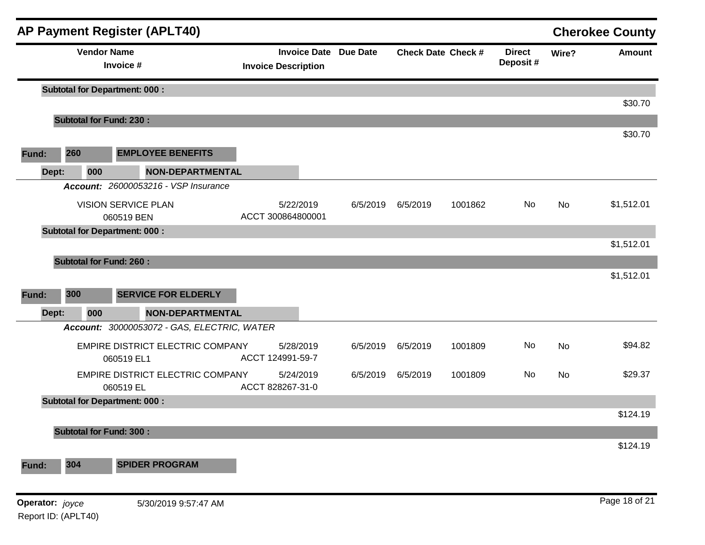|                 |                                      |                                 | <b>AP Payment Register (APLT40)</b>         |                                                            |          |          |                           |                            |       | <b>Cherokee County</b> |
|-----------------|--------------------------------------|---------------------------------|---------------------------------------------|------------------------------------------------------------|----------|----------|---------------------------|----------------------------|-------|------------------------|
|                 |                                      | <b>Vendor Name</b><br>Invoice # |                                             | <b>Invoice Date Due Date</b><br><b>Invoice Description</b> |          |          | <b>Check Date Check #</b> | <b>Direct</b><br>Deposit # | Wire? | <b>Amount</b>          |
|                 | <b>Subtotal for Department: 000:</b> |                                 |                                             |                                                            |          |          |                           |                            |       | \$30.70                |
|                 | <b>Subtotal for Fund: 230:</b>       |                                 |                                             |                                                            |          |          |                           |                            |       |                        |
| Fund:           | 260                                  |                                 | <b>EMPLOYEE BENEFITS</b>                    |                                                            |          |          |                           |                            |       | \$30.70                |
| Dept:           |                                      | 000                             | <b>NON-DEPARTMENTAL</b>                     |                                                            |          |          |                           |                            |       |                        |
|                 |                                      |                                 | <b>Account: 26000053216 - VSP Insurance</b> |                                                            |          |          |                           |                            |       |                        |
|                 |                                      | 060519 BEN                      | <b>VISION SERVICE PLAN</b>                  | 5/22/2019<br>ACCT 300864800001                             | 6/5/2019 | 6/5/2019 | 1001862                   | No                         | No    | \$1,512.01             |
|                 | <b>Subtotal for Department: 000:</b> |                                 |                                             |                                                            |          |          |                           |                            |       | \$1,512.01             |
|                 | <b>Subtotal for Fund: 260:</b>       |                                 |                                             |                                                            |          |          |                           |                            |       |                        |
|                 |                                      |                                 |                                             |                                                            |          |          |                           |                            |       | \$1,512.01             |
| Fund:           | 300                                  |                                 | <b>SERVICE FOR ELDERLY</b>                  |                                                            |          |          |                           |                            |       |                        |
| Dept:           |                                      | 000                             | <b>NON-DEPARTMENTAL</b>                     |                                                            |          |          |                           |                            |       |                        |
|                 |                                      |                                 | Account: 30000053072 - GAS, ELECTRIC, WATER |                                                            |          |          |                           |                            |       |                        |
|                 |                                      | 060519 EL1                      | EMPIRE DISTRICT ELECTRIC COMPANY            | 5/28/2019<br>ACCT 124991-59-7                              | 6/5/2019 | 6/5/2019 | 1001809                   | No                         | No    | \$94.82                |
|                 |                                      | 060519 EL                       | EMPIRE DISTRICT ELECTRIC COMPANY            | 5/24/2019<br>ACCT 828267-31-0                              | 6/5/2019 | 6/5/2019 | 1001809                   | No                         | No    | \$29.37                |
|                 | <b>Subtotal for Department: 000:</b> |                                 |                                             |                                                            |          |          |                           |                            |       |                        |
|                 |                                      |                                 |                                             |                                                            |          |          |                           |                            |       | \$124.19               |
|                 | <b>Subtotal for Fund: 300:</b>       |                                 |                                             |                                                            |          |          |                           |                            |       | \$124.19               |
| Fund:           | 304                                  |                                 | <b>SPIDER PROGRAM</b>                       |                                                            |          |          |                           |                            |       |                        |
| Operator: joyce |                                      |                                 | 5/30/2019 9:57:47 AM                        |                                                            |          |          |                           |                            |       | Page 18 of 21          |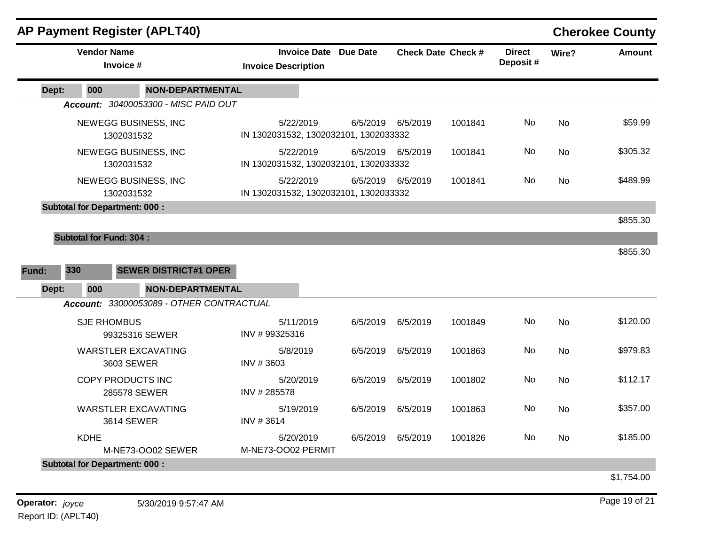|                                    |                                      | <b>AP Payment Register (APLT40)</b>                     |                            |                                       |                                       |                           |         |                           |           | <b>Cherokee County</b> |
|------------------------------------|--------------------------------------|---------------------------------------------------------|----------------------------|---------------------------------------|---------------------------------------|---------------------------|---------|---------------------------|-----------|------------------------|
| <b>Vendor Name</b><br>Invoice #    |                                      |                                                         | <b>Invoice Description</b> |                                       | <b>Invoice Date Due Date</b>          | <b>Check Date Check #</b> |         | <b>Direct</b><br>Deposit# | Wire?     | <b>Amount</b>          |
| Dept:                              | 000                                  | <b>NON-DEPARTMENTAL</b>                                 |                            |                                       |                                       |                           |         |                           |           |                        |
|                                    |                                      | Account: 30400053300 - MISC PAID OUT                    |                            |                                       |                                       |                           |         |                           |           |                        |
|                                    | 1302031532                           | NEWEGG BUSINESS, INC                                    |                            | 5/22/2019                             | IN 1302031532, 1302032101, 1302033332 | 6/5/2019 6/5/2019         | 1001841 | No.                       | No        | \$59.99                |
| NEWEGG BUSINESS, INC<br>1302031532 |                                      |                                                         | 5/22/2019                  | IN 1302031532, 1302032101, 1302033332 | 6/5/2019 6/5/2019                     | 1001841                   | No      | <b>No</b>                 | \$305.32  |                        |
|                                    | 1302031532                           | NEWEGG BUSINESS, INC                                    |                            | 5/22/2019                             | IN 1302031532, 1302032101, 1302033332 | 6/5/2019 6/5/2019         | 1001841 | No                        | <b>No</b> | \$489.99               |
|                                    | <b>Subtotal for Department: 000:</b> |                                                         |                            |                                       |                                       |                           |         |                           |           |                        |
|                                    |                                      |                                                         |                            |                                       |                                       |                           |         |                           |           | \$855.30               |
| 330<br>Fund:<br>Dept:              | 000                                  | <b>SEWER DISTRICT#1 OPER</b><br><b>NON-DEPARTMENTAL</b> |                            |                                       |                                       |                           |         |                           |           | \$855.30               |
|                                    |                                      | Account: 33000053089 - OTHER CONTRACTUAL                |                            |                                       |                                       |                           |         |                           |           |                        |
|                                    | <b>SJE RHOMBUS</b>                   | 99325316 SEWER                                          | INV #99325316              | 5/11/2019                             | 6/5/2019                              | 6/5/2019                  | 1001849 | <b>No</b>                 | <b>No</b> | \$120.00               |
|                                    |                                      | <b>WARSTLER EXCAVATING</b><br>3603 SEWER                | INV #3603                  | 5/8/2019                              | 6/5/2019                              | 6/5/2019                  | 1001863 | <b>No</b>                 | <b>No</b> | \$979.83               |
|                                    | <b>COPY PRODUCTS INC</b>             | 285578 SEWER                                            | INV #285578                | 5/20/2019                             | 6/5/2019                              | 6/5/2019                  | 1001802 | <b>No</b>                 | <b>No</b> | \$112.17               |
|                                    |                                      | <b>WARSTLER EXCAVATING</b><br><b>3614 SEWER</b>         | INV #3614                  | 5/19/2019                             | 6/5/2019                              | 6/5/2019                  | 1001863 | <b>No</b>                 | No        | \$357.00               |
|                                    | <b>KDHE</b>                          | M-NE73-OO02 SEWER                                       | M-NE73-OO02 PERMIT         | 5/20/2019                             | 6/5/2019                              | 6/5/2019                  | 1001826 | <b>No</b>                 | <b>No</b> | \$185.00               |
|                                    | <b>Subtotal for Department: 000:</b> |                                                         |                            |                                       |                                       |                           |         |                           |           |                        |
|                                    |                                      |                                                         |                            |                                       |                                       |                           |         |                           |           | \$1,754.00             |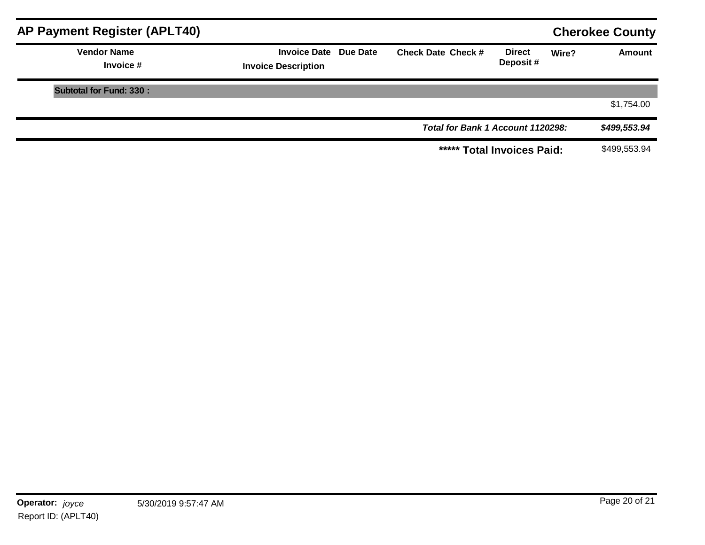| <b>AP Payment Register (APLT40)</b> |                                                            |                                   |                           |       | <b>Cherokee County</b> |
|-------------------------------------|------------------------------------------------------------|-----------------------------------|---------------------------|-------|------------------------|
| <b>Vendor Name</b><br>Invoice #     | <b>Invoice Date Due Date</b><br><b>Invoice Description</b> | <b>Check Date Check #</b>         | <b>Direct</b><br>Deposit# | Wire? | <b>Amount</b>          |
| <b>Subtotal for Fund: 330:</b>      |                                                            |                                   |                           |       |                        |
|                                     |                                                            |                                   |                           |       | \$1,754.00             |
|                                     |                                                            | Total for Bank 1 Account 1120298: |                           |       | \$499,553.94           |
|                                     |                                                            | ***** Total Invoices Paid:        |                           |       | \$499,553.94           |